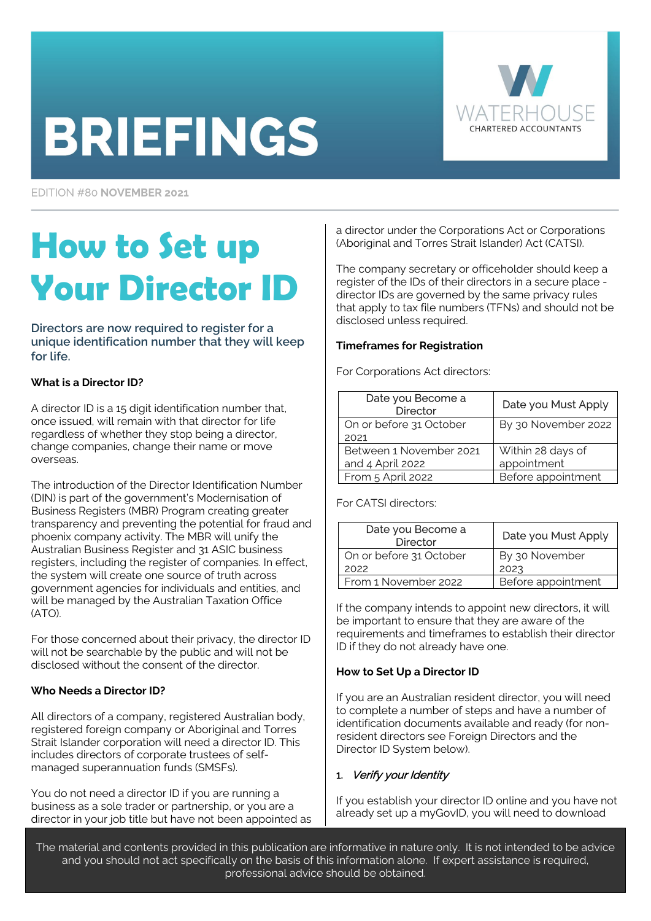# **BRIEFINGS**



EDITION #80 NOVEMBER 2021

# **How to Set up Your Director ID**

**Directors are now required to register for a unique identification number that they will keep for life.**

# **What is a Director ID?**

A director ID is a 15 digit identification number that, once issued, will remain with that director for life regardless of whether they stop being a director, change companies, change their name or move overseas.

The introduction of the Director Identification Number (DIN) is part of the government's Modernisation of Business Registers (MBR) Program creating greater transparency and preventing the potential for fraud and phoenix company activity. The MBR will unify the Australian Business Register and 31 ASIC business registers, including the register of companies. In effect, the system will create one source of truth across government agencies for individuals and entities, and will be managed by the Australian Taxation Office (ATO).

For those concerned about their privacy, the director ID will not be searchable by the public and will not be disclosed without the consent of the director.

# **Who Needs a Director ID?**

All directors of a company, registered Australian body, registered foreign company or Aboriginal and Torres Strait Islander corporation will need a director ID. This includes directors of corporate trustees of selfmanaged superannuation funds (SMSFs).

You do not need a director ID if you are running a business as a sole trader or partnership, or you are a director in your job title but have not been appointed as a director under the Corporations Act or Corporations (Aboriginal and Torres Strait Islander) Act (CATSI).

The company secretary or officeholder should keep a register of the IDs of their directors in a secure place director IDs are governed by the same privacy rules that apply to tax file numbers (TFNs) and should not be disclosed unless required.

# **Timeframes for Registration**

For Corporations Act directors:

| Date you Become a<br><b>Director</b> | Date you Must Apply |
|--------------------------------------|---------------------|
| On or before 31 October              | By 30 November 2022 |
| 2021                                 |                     |
| Between 1 November 2021              | Within 28 days of   |
| and 4 April 2022                     | appointment         |
| From 5 April 2022                    | Before appointment  |

For CATSI directors:

| Date you Become a<br><b>Director</b> | Date you Must Apply |
|--------------------------------------|---------------------|
| On or before 31 October              | By 30 November      |
| 2022                                 | 2023                |
| From 1 November 2022                 | Before appointment  |

If the company intends to appoint new directors, it will be important to ensure that they are aware of the requirements and timeframes to establish their director ID if they do not already have one.

# **How to Set Up a Director ID**

If you are an Australian resident director, you will need to complete a number of steps and have a number of identification documents available and ready (for nonresident directors see Foreign Directors and the Director ID System below).

# 1. Verify your Identity

If you establish your director ID online and you have not already set up a myGovID, you will need to download

The material and contents provided in this publication are informative in nature only. It is not intended to be advice and you should not act specifically on the basis of this information alone. If expert assistance is required, professional advice should be obtained.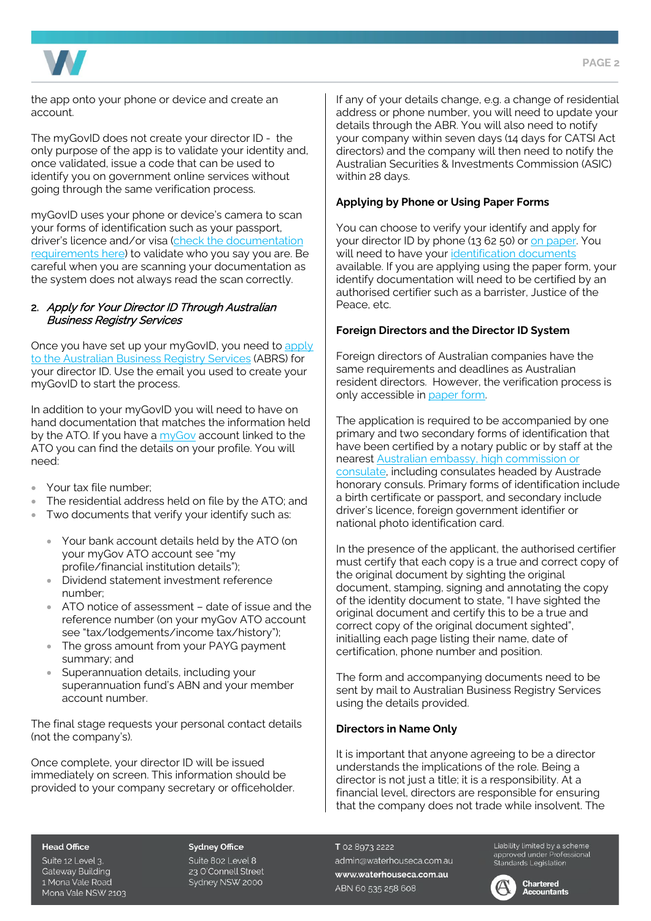

the app onto your phone or device and create an account.

The myGovID does not create your director ID - the only purpose of the app is to validate your identity and, once validated, issue a code that can be used to identify you on government online services without going through the same verification process.

myGovID uses your phone or device's camera to scan your forms of identification such as your passport, driver's licence and/or visa [\(check the documentation](https://www.mygovid.gov.au/verifying-your-identity)  [requirements here\)](https://www.mygovid.gov.au/verifying-your-identity) to validate who you say you are. Be careful when you are scanning your documentation as the system does not always read the scan correctly.

# 2. Apply for Your Director ID Through Australian Business Registry Services

Once you have set up your myGovID, you need t[o apply](https://mygovid.gov.au/AuthSpa.UI/index.html#login)  [to the Australian Business Registry Services](https://mygovid.gov.au/AuthSpa.UI/index.html#login) (ABRS) for your director ID. Use the email you used to create your myGovID to start the process.

In addition to your myGovID you will need to have on hand documentation that matches the information held by the ATO. If you have a [myGov](https://my.gov.au/) account linked to the ATO you can find the details on your profile. You will need:

- Your tax file number;
- The residential address held on file by the ATO; and
- Two documents that verify your identify such as:
	- Your bank account details held by the ATO (on your myGov ATO account see "my profile/financial institution details");
	- Dividend statement investment reference number;
	- ATO notice of assessment date of issue and the reference number (on your myGov ATO account see "tax/lodgements/income tax/history");
	- The gross amount from your PAYG payment summary; and
	- Superannuation details, including your superannuation fund's ABN and your member account number.

The final stage requests your personal contact details (not the company's).

Once complete, your director ID will be issued immediately on screen. This information should be provided to your company secretary or officeholder. If any of your details change, e.g. a change of residential address or phone number, you will need to update your details through the ABR. You will also need to notify your company within seven days (14 days for CATSI Act directors) and the company will then need to notify the Australian Securities & Investments Commission (ASIC) within 28 days.

# **Applying by Phone or Using Paper Forms**

You can choose to verify your identify and apply for your director ID by phone (13 62 50) o[r on paper.](https://www.abrs.gov.au/sites/default/files/2021-10/Application_for_a_director_identification_number.pdf) You will need to have your [identification documents](https://www.abrs.gov.au/director-identification-number/apply-director-identification-number/verify-your-identity) available. If you are applying using the paper form, your identify documentation will need to be certified by an authorised certifier such as a barrister, Justice of the Peace, etc.

# **Foreign Directors and the Director ID System**

Foreign directors of Australian companies have the same requirements and deadlines as Australian resident directors. However, the verification process is only accessible in [paper form.](https://www.abrs.gov.au/sites/default/files/2021-10/Application_for_a_director_identification_number.pdf) 

The application is required to be accompanied by one primary and two secondary forms of identification that have been certified by a notary public or by staff at the nearest [Australian embassy, high commission or](https://www.dfat.gov.au/about-us/our-locations/missions/our-embassies-and-consulates-overseas)  [consulate,](https://www.dfat.gov.au/about-us/our-locations/missions/our-embassies-and-consulates-overseas) including consulates headed by Austrade honorary consuls. Primary forms of identification include a birth certificate or passport, and secondary include driver's licence, foreign government identifier or national photo identification card.

In the presence of the applicant, the authorised certifier must certify that each copy is a true and correct copy of the original document by sighting the original document, stamping, signing and annotating the copy of the identity document to state, "I have sighted the original document and certify this to be a true and correct copy of the original document sighted", initialling each page listing their name, date of certification, phone number and position.

The form and accompanying documents need to be sent by mail to Australian Business Registry Services using the details provided.

# **Directors in Name Only**

It is important that anyone agreeing to be a director understands the implications of the role. Being a director is not just a title; it is a responsibility. At a financial level, directors are responsible for ensuring that the company does not trade while insolvent. The

#### **Head Office**

Suite 12 Level 3, **Gateway Building** 1 Mona Vale Road Mona Vale NSW 2103

#### **Sydney Office**

Suite 802 Level 8 23 O'Connell Street Sydney NSW 2000

T 02 8973 2222 admin@waterhouseca.com.au www.waterhouseca.com.au ABN 60 535 258 608

Liability limited by a scheme Clabitity timited by a scrieme<br>approved under Professional<br>Standards Legislation

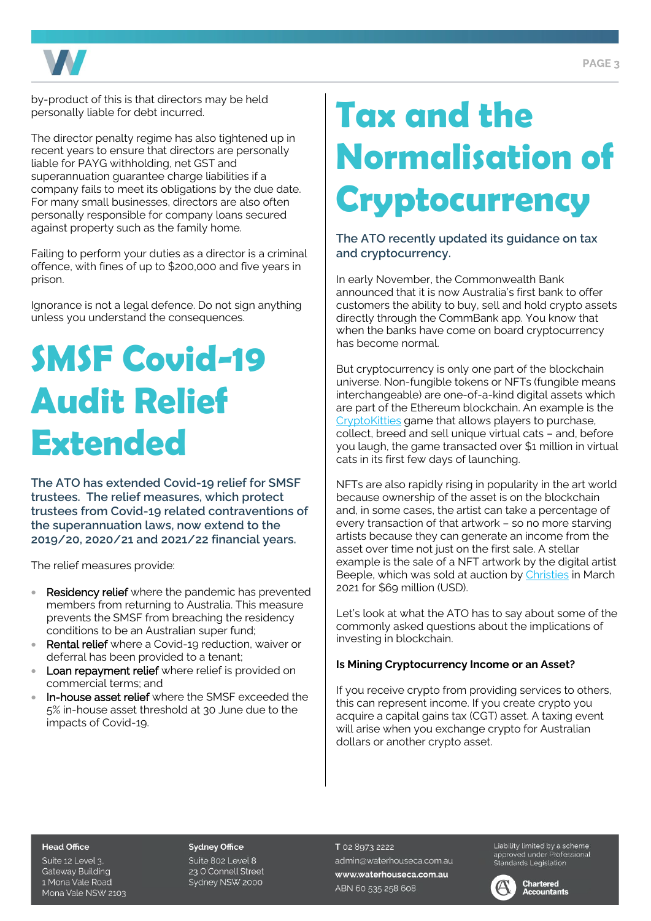

by-product of this is that directors may be held personally liable for debt incurred.

The director penalty regime has also tightened up in recent years to ensure that directors are personally liable for PAYG withholding, net GST and superannuation guarantee charge liabilities if a company fails to meet its obligations by the due date. For many small businesses, directors are also often personally responsible for company loans secured against property such as the family home.

Failing to perform your duties as a director is a criminal offence, with fines of up to \$200,000 and five years in prison.

Ignorance is not a legal defence. Do not sign anything unless you understand the consequences.

# **SMSF Covid-19 Audit Relief Extended**

**The ATO has extended Covid-19 relief for SMSF trustees. The relief measures, which protect trustees from Covid-19 related contraventions of the superannuation laws, now extend to the 2019/20, 2020/21 and 2021/22 financial years.** 

The relief measures provide:

- **Residency relief** where the pandemic has prevented members from returning to Australia. This measure prevents the SMSF from breaching the residency conditions to be an Australian super fund;
- Rental relief where a Covid-19 reduction, waiver or deferral has been provided to a tenant;
- Loan repayment relief where relief is provided on commercial terms; and
- In-house asset relief where the SMSF exceeded the 5% in-house asset threshold at 30 June due to the impacts of Covid-19.

# **Tax and the Normalisation of Cryptocurrency**

**The ATO recently updated its guidance on tax and cryptocurrency.**

In early November, the Commonwealth Bank announced that it is now Australia's first bank to offer customers the ability to buy, sell and hold crypto assets directly through the CommBank app. You know that when the banks have come on board cryptocurrency has become normal.

But cryptocurrency is only one part of the blockchain universe. Non-fungible tokens or NFTs (fungible means interchangeable) are one-of-a-kind digital assets which are part of the Ethereum blockchain. An example is the [CryptoKitties](https://www.cryptokitties.co/) game that allows players to purchase, collect, breed and sell unique virtual cats – and, before you laugh, the game transacted over \$1 million in virtual cats in its first few days of launching.

NFTs are also rapidly rising in popularity in the art world because ownership of the asset is on the blockchain and, in some cases, the artist can take a percentage of every transaction of that artwork – so no more starving artists because they can generate an income from the asset over time not just on the first sale. A stellar example is the sale of a NFT artwork by the digital artist Beeple, which was sold at auction by [Christies](https://onlineonly.christies.com/s/beeple-first-5000-days/beeple-b-1981-1/112924) in March 2021 for \$69 million (USD).

Let's look at what the ATO has to say about some of the commonly asked questions about the implications of investing in blockchain.

# **Is Mining Cryptocurrency Income or an Asset?**

If you receive crypto from providing services to others, this can represent income. If you create crypto you acquire a capital gains tax (CGT) asset. A taxing event will arise when you exchange crypto for Australian dollars or another crypto asset.

#### **Head Office**

Suite 12 Level 3, **Gateway Building** 1 Mona Vale Road Mona Vale NSW 2103

#### **Sydney Office**

Suite 802 Level 8 23 O'Connell Street Sydney NSW 2000

T 02 8973 2222 admin@waterhouseca.com.au www.waterhouseca.com.au ABN 60 535 258 608

Liability limited by a scheme approved under Professional<br>Standards Legislation



#### **Chartered Accountants**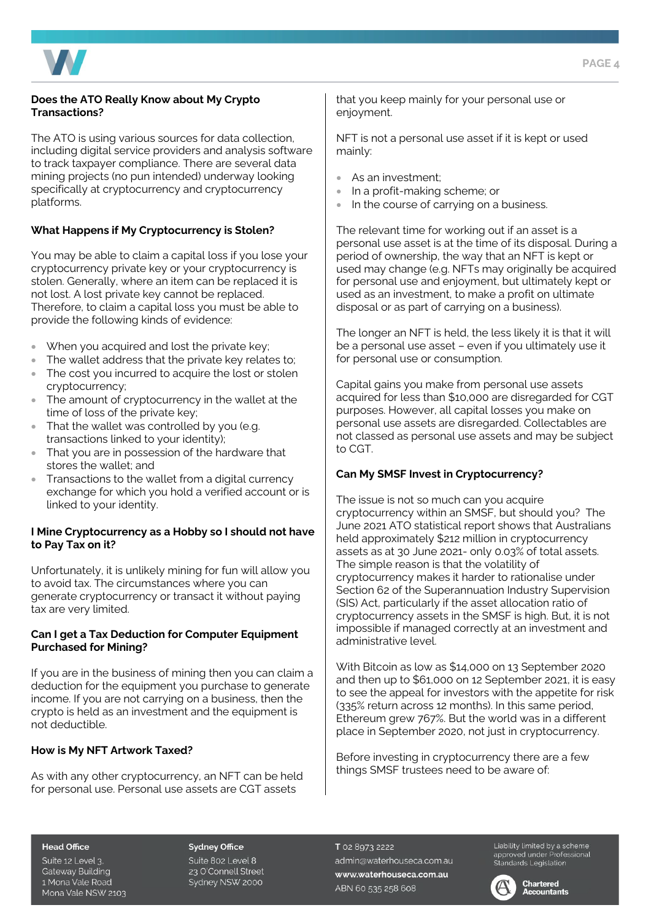

# **Does the ATO Really Know about My Crypto Transactions?**

The ATO is using various sources for data collection, including digital service providers and analysis software to track taxpayer compliance. There are several data mining projects (no pun intended) underway looking specifically at cryptocurrency and cryptocurrency platforms.

# **What Happens if My Cryptocurrency is Stolen?**

You may be able to claim a capital loss if you lose your cryptocurrency private key or your cryptocurrency is stolen. Generally, where an item can be replaced it is not lost. A lost private key cannot be replaced. Therefore, to claim a capital loss you must be able to provide the following kinds of evidence:

- When you acquired and lost the private key;
- The wallet address that the private key relates to;
- The cost you incurred to acquire the lost or stolen cryptocurrency;
- The amount of cryptocurrency in the wallet at the time of loss of the private key;
- That the wallet was controlled by you (e.g. transactions linked to your identity);
- That you are in possession of the hardware that stores the wallet; and
- Transactions to the wallet from a digital currency exchange for which you hold a verified account or is linked to your identity.

# **I Mine Cryptocurrency as a Hobby so I should not have to Pay Tax on it?**

Unfortunately, it is unlikely mining for fun will allow you to avoid tax. The circumstances where you can generate cryptocurrency or transact it without paying tax are very limited.

### **Can I get a Tax Deduction for Computer Equipment Purchased for Mining?**

If you are in the business of mining then you can claim a deduction for the equipment you purchase to generate income. If you are not carrying on a business, then the crypto is held as an investment and the equipment is not deductible.

# **How is My NFT Artwork Taxed?**

As with any other cryptocurrency, an NFT can be held for personal use. Personal use assets are CGT assets

that you keep mainly for your personal use or enjoyment.

NFT is not a personal use asset if it is kept or used mainly:

- As an investment:
- In a profit-making scheme; or
- In the course of carrying on a business.

The relevant time for working out if an asset is a personal use asset is at the time of its disposal. During a period of ownership, the way that an NFT is kept or used may change (e.g. NFTs may originally be acquired for personal use and enjoyment, but ultimately kept or used as an investment, to make a profit on ultimate disposal or as part of carrying on a business).

The longer an NFT is held, the less likely it is that it will be a personal use asset – even if you ultimately use it for personal use or consumption.

Capital gains you make from personal use assets acquired for less than \$10,000 are disregarded for CGT purposes. However, all capital losses you make on personal use assets are disregarded. Collectables are not classed as personal use assets and may be subject to CGT.

# **Can My SMSF Invest in Cryptocurrency?**

The issue is not so much can you acquire cryptocurrency within an SMSF, but should you? The June 2021 ATO statistical report shows that Australians held approximately \$212 million in cryptocurrency assets as at 30 June 2021- only 0.03% of total assets. The simple reason is that the volatility of cryptocurrency makes it harder to rationalise under Section 62 of the Superannuation Industry Supervision (SIS) Act, particularly if the asset allocation ratio of cryptocurrency assets in the SMSF is high. But, it is not impossible if managed correctly at an investment and administrative level.

With Bitcoin as low as \$14,000 on 13 September 2020 and then up to \$61,000 on 12 September 2021, it is easy to see the appeal for investors with the appetite for risk (335% return across 12 months). In this same period, Ethereum grew 767%. But the world was in a different place in September 2020, not just in cryptocurrency.

Before investing in cryptocurrency there are a few things SMSF trustees need to be aware of:

#### **Head Office**

Suite 12 Level 3, **Gateway Building** 1 Mona Vale Road Mona Vale NSW 2103

#### **Sydney Office**

Suite 802 Level 8 23 O'Connell Street Sydney NSW 2000

T 02 8973 2222 admin@waterhouseca.com.au www.waterhouseca.com.au ABN 60 535 258 608

Liability limited by a scheme approved under Professional<br>Standards Legislation